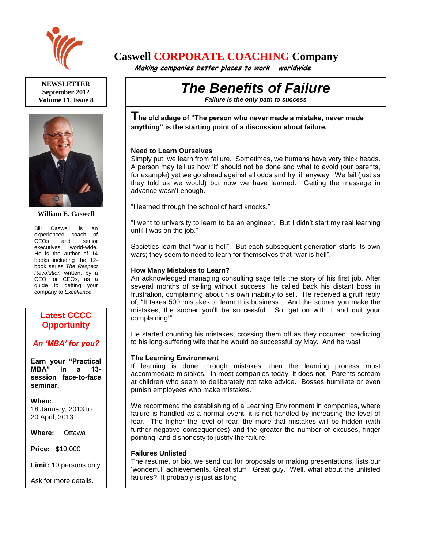

**NEWSLETTER September 2012 Volume 11, Issue 8**



**William E. Caswell**

Bill Caswell is an experienced coach of CEOs and senior executives world-wide. He is the author of 14 books including the 12 book series *The Respect Revolution* written, by a CEO for CEOs, as a guide to getting your company to *Excellence*.

# **Latest CCCC Opportunity**

# *An 'MBA' for you?*

**Earn your "Practical MBA" in a 13 session face-to-face seminar.**

**When:**  18 January, 2013 to 20 April, 2013

**Where:** Ottawa

**Price:** \$10,000

**Limit:** 10 persons only

Ask for more details.

# **Caswell CORPORATE COACHING Company**

 **Making companies better places to work – worldwide**

# *The Benefits of Failure*

*Failure is the only path to success*

**The old adage of "The person who never made a mistake, never made anything" is the starting point of a discussion about failure.**

#### **Need to Learn Ourselves**

Simply put, we learn from failure. Sometimes, we humans have very thick heads. A person may tell us how 'it' should not be done and what to avoid (our parents, for example) yet we go ahead against all odds and try 'it' anyway. We fail (just as they told us we would) but now we have learned. Getting the message in advance wasn't enough.

"I learned through the school of hard knocks."

"I went to university to learn to be an engineer. But I didn't start my real learning until I was on the job."

Societies learn that "war is hell". But each subsequent generation starts its own wars; they seem to need to learn for themselves that "war is hell".

#### **How Many Mistakes to Learn?**

An acknowledged managing consulting sage tells the story of his first job. After several months of selling without success, he called back his distant boss in frustration, complaining about his own inability to sell. He received a gruff reply of, "It takes 500 mistakes to learn this business. And the sooner you make the mistakes, the sooner you'll be successful. So, get on with it and quit your complaining!"

He started counting his mistakes, crossing them off as they occurred, predicting to his long-suffering wife that he would be successful by May. And he was!

# **The Learning Environment**

If learning is done through mistakes, then the learning process must accommodate mistakes. In most companies today, it does not. Parents scream at children who seem to deliberately not take advice. Bosses humiliate or even punish employees who make mistakes.

We recommend the establishing of a Learning Environment in companies, where failure is handled as a normal event; it is not handled by increasing the level of fear. The higher the level of fear, the more that mistakes will be hidden (with further negative consequences) and the greater the number of excuses, finger pointing, and dishonesty to justify the failure.

# **Failures Unlisted**

The resume, or bio, we send out for proposals or making presentations, lists our 'wonderful' achievements. Great stuff. Great guy. Well, what about the unlisted failures? It probably is just as long.